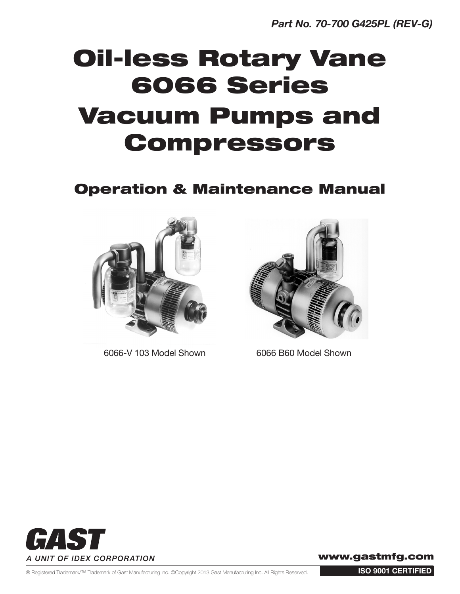# Oil-less Rotary Vane 6066 Series Vacuum Pumps and Compressors

### Operation & Maintenance Manual



6066-V 103 Model Shown 6066 B60 Model Shown





www.gastmfg.com

® Registered Trademark/™ Trademark of Gast Manufacturing Inc. ©Copyright 2013 Gast Manufacturing Inc. All Rights Reserved.

ISO 9001 CERTIFIED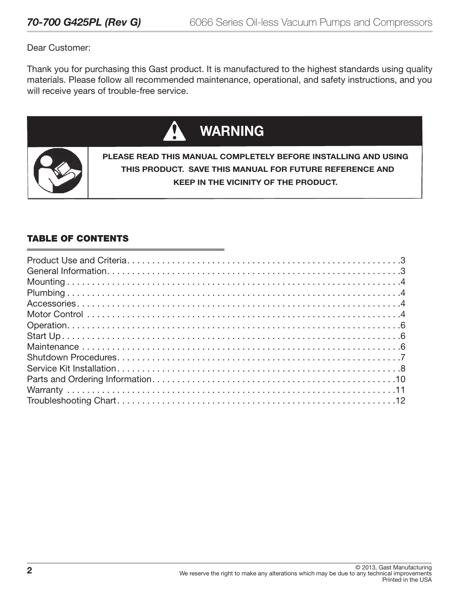Dear Customer:

Thank you for purchasing this Gast product. It is manufactured to the highest standards using quality materials. Please follow all recommended maintenance, operational, and safety instructions, and you will receive years of trouble-free service.



#### TABLE OF CONTENTS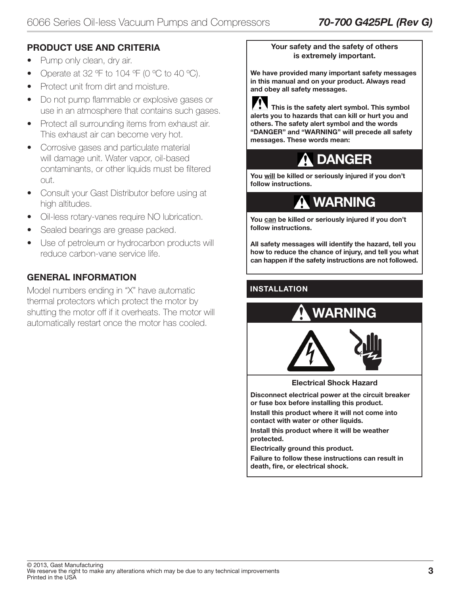#### PRODUCT USE AND CRITERIA

- Pump only clean, dry air.
- Operate at 32  $\degree$ F to 104  $\degree$ F (0  $\degree$ C to 40  $\degree$ C).
- Protect unit from dirt and moisture.
- Do not pump flammable or explosive gases or use in an atmosphere that contains such gases.
- Protect all surrounding items from exhaust air. This exhaust air can become very hot.
- Corrosive gases and particulate material will damage unit. Water vapor, oil-based contaminants, or other liquids must be filtered out.
- Consult your Gast Distributor before using at high altitudes.
- Oil-less rotary-vanes require NO lubrication.
- Sealed bearings are grease packed.
- Use of petroleum or hydrocarbon products will reduce carbon-vane service life.

#### GENERAL INFORMATION

Model numbers ending in "X" have automatic thermal protectors which protect the motor by shutting the motor off if it overheats. The motor will automatically restart once the motor has cooled.

#### Your safety and the safety of others is extremely important.

We have provided many important safety messages in this manual and on your product. Always read and obey all safety messages.

 This is the safety alert symbol. This symbol alerts you to hazards that can kill or hurt you and others. The safety alert symbol and the words "DANGER" and "WARNING" will precede all safety messages. These words mean:



You will be killed or seriously injured if you don't follow instructions.

### **A WARNING**

You can be killed or seriously injured if you don't follow instructions.

All safety messages will identify the hazard, tell you how to reduce the chance of injury, and tell you what can happen if the safety instructions are not followed.

#### INSTALLATION

i





Electrical Shock Hazard

Disconnect electrical power at the circuit breaker or fuse box before installing this product.

Install this product where it will not come into contact with water or other liquids.

Install this product where it will be weather protected.

Electrically ground this product.

Failure to follow these instructions can result in death, fire, or electrical shock.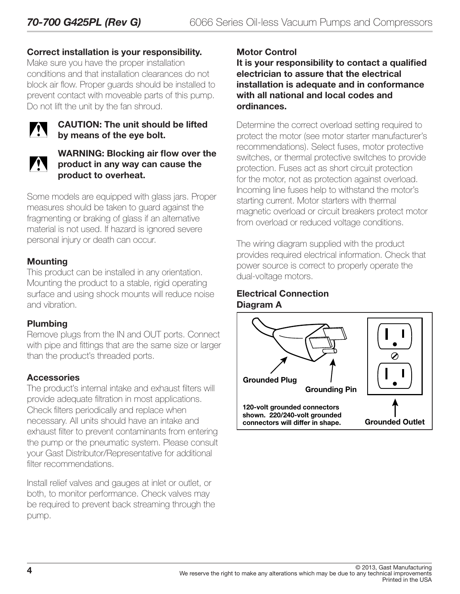#### Correct installation is your responsibility.

Make sure you have the proper installation conditions and that installation clearances do not block air flow. Proper guards should be installed to prevent contact with moveable parts of this pump. Do not lift the unit by the fan shroud.



#### CAUTION: The unit should be lifted by means of the eye bolt.



#### WARNING: Blocking air flow over the product in any way can cause the product to overheat.

Some models are equipped with glass jars. Proper measures should be taken to guard against the fragmenting or braking of glass if an alternative material is not used. If hazard is ignored severe personal injury or death can occur.

#### Mounting

This product can be installed in any orientation. Mounting the product to a stable, rigid operating surface and using shock mounts will reduce noise and vibration.

#### Plumbing

Remove plugs from the IN and OUT ports. Connect with pipe and fittings that are the same size or larger than the product's threaded ports.

#### **Accessories**

The product's internal intake and exhaust filters will provide adequate filtration in most applications. Check filters periodically and replace when necessary. All units should have an intake and exhaust filter to prevent contaminants from entering the pump or the pneumatic system. Please consult your Gast Distributor/Representative for additional filter recommendations.

Install relief valves and gauges at inlet or outlet, or both, to monitor performance. Check valves may be required to prevent back streaming through the pump.

#### Motor Control

It is your responsibility to contact a qualified electrician to assure that the electrical installation is adequate and in conformance with all national and local codes and ordinances.

Determine the correct overload setting required to protect the motor (see motor starter manufacturer's recommendations). Select fuses, motor protective switches, or thermal protective switches to provide protection. Fuses act as short circuit protection for the motor, not as protection against overload. Incoming line fuses help to withstand the motor's starting current. Motor starters with thermal magnetic overload or circuit breakers protect motor from overload or reduced voltage conditions.

The wiring diagram supplied with the product provides required electrical information. Check that power source is correct to properly operate the dual-voltage motors.

#### Electrical Connection Diagram A

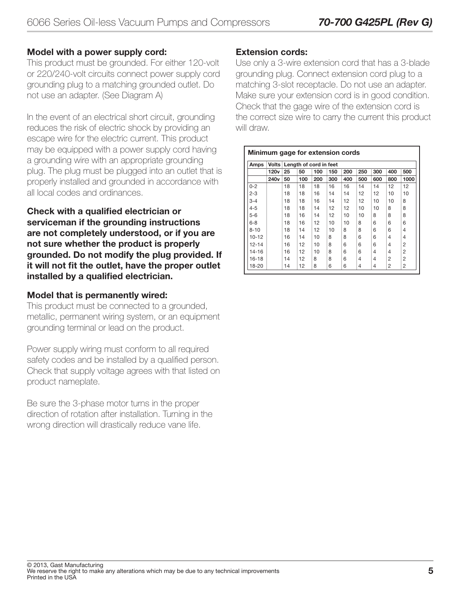#### Model with a power supply cord:

This product must be grounded. For either 120-volt or 220/240-volt circuits connect power supply cord grounding plug to a matching grounded outlet. Do not use an adapter. (See Diagram A)

In the event of an electrical short circuit, grounding reduces the risk of electric shock by providing an escape wire for the electric current. This product may be equipped with a power supply cord having a grounding wire with an appropriate grounding plug. The plug must be plugged into an outlet that is properly installed and grounded in accordance with all local codes and ordinances.

Check with a qualified electrician or serviceman if the grounding instructions are not completely understood, or if you are not sure whether the product is properly grounded. Do not modify the plug provided. If it will not fit the outlet, have the proper outlet installed by a qualified electrician.

#### Model that is permanently wired:

This product must be connected to a grounded, metallic, permanent wiring system, or an equipment grounding terminal or lead on the product.

Power supply wiring must conform to all required safety codes and be installed by a qualified person. Check that supply voltage agrees with that listed on product nameplate.

Be sure the 3-phase motor turns in the proper direction of rotation after installation. Turning in the wrong direction will drastically reduce vane life.

#### Extension cords:

Use only a 3-wire extension cord that has a 3-blade grounding plug. Connect extension cord plug to a matching 3-slot receptacle. Do not use an adapter. Make sure your extension cord is in good condition. Check that the gage wire of the extension cord is the correct size wire to carry the current this product will draw.

| Amps      | <b>Volts</b>     |    | Length of cord in feet |     |     |     |     |     |     |      |
|-----------|------------------|----|------------------------|-----|-----|-----|-----|-----|-----|------|
|           | 120 <sub>v</sub> | 25 | 50                     | 100 | 150 | 200 | 250 | 300 | 400 | 500  |
|           | 240 <sub>v</sub> | 50 | 100                    | 200 | 300 | 400 | 500 | 600 | 800 | 1000 |
| $0 - 2$   |                  | 18 | 18                     | 18  | 16  | 16  | 14  | 14  | 12  | 12   |
| $2 - 3$   |                  | 18 | 18                     | 16  | 14  | 14  | 12  | 12  | 10  | 10   |
| $3 - 4$   |                  | 18 | 18                     | 16  | 14  | 12  | 12  | 10  | 10  | 8    |
| $4 - 5$   |                  | 18 | 18                     | 14  | 12  | 12  | 10  | 10  | 8   | 8    |
| $5-6$     |                  | 18 | 16                     | 14  | 12  | 10  | 10  | 8   | 8   | 8    |
| $6 - 8$   |                  | 18 | 16                     | 12  | 10  | 10  | 8   | 6   | 6   | 6    |
| $8 - 10$  |                  | 18 | 14                     | 12  | 10  | 8   | 8   | 6   | 6   | 4    |
| $10 - 12$ |                  | 16 | 14                     | 10  | 8   | 8   | 6   | 6   | 4   | 4    |
| $12 - 14$ |                  | 16 | 12                     | 10  | 8   | 6   | 6   | 6   | 4   | 2    |
| 14-16     |                  | 16 | 12                     | 10  | 8   | 6   | 6   | 4   | 4   | 2    |
| 16-18     |                  | 14 | 12                     | 8   | 8   | 6   | 4   | 4   | 2   | 2    |
| 18-20     |                  | 14 | 12                     | 8   | 6   | 6   | 4   | 4   | 2   | 2    |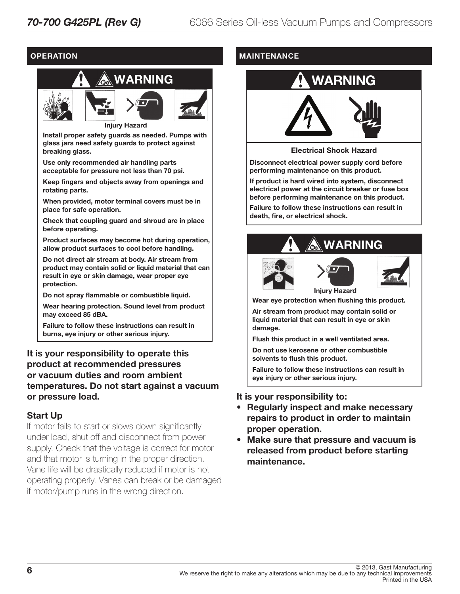#### **OPERATION**



Install proper safety guards as needed. Pumps with glass jars need safety guards to protect against breaking glass.

Use only recommended air handling parts acceptable for pressure not less than 70 psi.

Keep fingers and objects away from openings and rotating parts.

When provided, motor terminal covers must be in place for safe operation.

Check that coupling guard and shroud are in place before operating.

Product surfaces may become hot during operation, allow product surfaces to cool before handling.

Do not direct air stream at body. Air stream from product may contain solid or liquid material that can result in eye or skin damage, wear proper eye protection.

Do not spray flammable or combustible liquid.

Wear hearing protection. Sound level from product may exceed 85 dBA.

Failure to follow these instructions can result in burns, eye injury or other serious injury.

#### It is your responsibility to operate this product at recommended pressures or vacuum duties and room ambient temperatures. Do not start against a vacuum or pressure load.

#### Start Up

If motor fails to start or slows down significantly under load, shut off and disconnect from power supply. Check that the voltage is correct for motor and that motor is turning in the proper direction. Vane life will be drastically reduced if motor is not operating properly. Vanes can break or be damaged if motor/pump runs in the wrong direction.

#### MAINTENANCE

## WARNING



#### Electrical Shock Hazard

Disconnect electrical power supply cord before performing maintenance on this product.

If product is hard wired into system, disconnect electrical power at the circuit breaker or fuse box before performing maintenance on this product.

Failure to follow these instructions can result in death, fire, or electrical shock.







Injury Hazard

Wear eye protection when flushing this product.

Air stream from product may contain solid or liquid material that can result in eye or skin damage.

Flush this product in a well ventilated area.

Do not use kerosene or other combustible solvents to flush this product.

Failure to follow these instructions can result in eye injury or other serious injury.

#### It is your responsibility to:

- Regularly inspect and make necessary repairs to product in order to maintain proper operation.
- Make sure that pressure and vacuum is released from product before starting maintenance.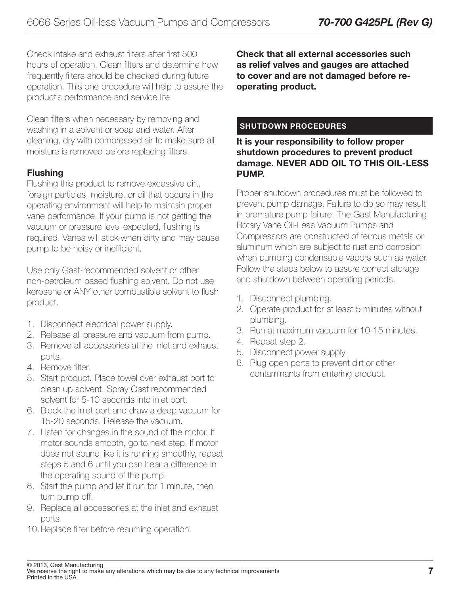Check intake and exhaust filters after first 500 hours of operation. Clean filters and determine how frequently filters should be checked during future operation. This one procedure will help to assure the product's performance and service life.

Clean filters when necessary by removing and washing in a solvent or soap and water. After cleaning, dry with compressed air to make sure all moisture is removed before replacing filters.

#### Flushing

Flushing this product to remove excessive dirt, foreign particles, moisture, or oil that occurs in the operating environment will help to maintain proper vane performance. If your pump is not getting the vacuum or pressure level expected, flushing is required. Vanes will stick when dirty and may cause pump to be noisy or inefficient.

Use only Gast-recommended solvent or other non-petroleum based flushing solvent. Do not use kerosene or ANY other combustible solvent to flush product.

- 1. Disconnect electrical power supply.
- 2. Release all pressure and vacuum from pump.
- 3. Remove all accessories at the inlet and exhaust ports.
- 4. Remove filter.
- 5. Start product. Place towel over exhaust port to clean up solvent. Spray Gast recommended solvent for 5-10 seconds into inlet port.
- 6. Block the inlet port and draw a deep vacuum for 15-20 seconds. Release the vacuum.
- 7. Listen for changes in the sound of the motor. If motor sounds smooth, go to next step. If motor does not sound like it is running smoothly, repeat steps 5 and 6 until you can hear a difference in the operating sound of the pump.
- 8. Start the pump and let it run for 1 minute, then turn pump off.
- 9. Replace all accessories at the inlet and exhaust ports.
- 10.Replace filter before resuming operation.

Check that all external accessories such as relief valves and gauges are attached to cover and are not damaged before reoperating product.

#### SHUTDOWN PROCEDURES

It is your responsibility to follow proper shutdown procedures to prevent product damage. NEVER ADD OIL TO THIS OIL-LESS PUMP.

Proper shutdown procedures must be followed to prevent pump damage. Failure to do so may result in premature pump failure. The Gast Manufacturing Rotary Vane Oil-Less Vacuum Pumps and Compressors are constructed of ferrous metals or aluminum which are subject to rust and corrosion when pumping condensable vapors such as water. Follow the steps below to assure correct storage and shutdown between operating periods.

- 1. Disconnect plumbing.
- 2. Operate product for at least 5 minutes without plumbing.
- 3. Run at maximum vacuum for 10-15 minutes.
- 4. Repeat step 2.
- 5. Disconnect power supply.
- 6. Plug open ports to prevent dirt or other contaminants from entering product.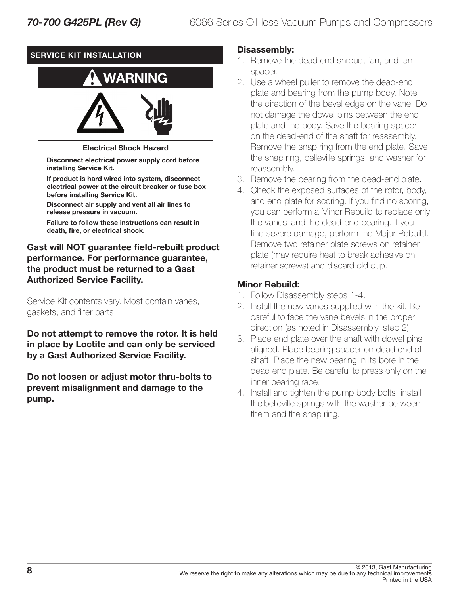#### SERVICE KIT INSTALLATION



#### Gast will NOT guarantee field-rebuilt product performance. For performance guarantee, the product must be returned to a Gast Authorized Service Facility.

Service Kit contents vary. Most contain vanes, gaskets, and filter parts.

Do not attempt to remove the rotor. It is held in place by Loctite and can only be serviced by a Gast Authorized Service Facility.

Do not loosen or adjust motor thru-bolts to prevent misalignment and damage to the pump.

#### Disassembly:

- 1. Remove the dead end shroud, fan, and fan spacer.
- 2. Use a wheel puller to remove the dead-end plate and bearing from the pump body. Note the direction of the bevel edge on the vane. Do not damage the dowel pins between the end plate and the body. Save the bearing spacer on the dead-end of the shaft for reassembly. Remove the snap ring from the end plate. Save the snap ring, belleville springs, and washer for reassembly.
- 3. Remove the bearing from the dead-end plate.
- 4. Check the exposed surfaces of the rotor, body, and end plate for scoring. If you find no scoring, you can perform a Minor Rebuild to replace only the vanes and the dead-end bearing. If you find severe damage, perform the Major Rebuild. Remove two retainer plate screws on retainer plate (may require heat to break adhesive on retainer screws) and discard old cup.

#### Minor Rebuild:

- 1. Follow Disassembly steps 1-4.
- 2. Install the new vanes supplied with the kit. Be careful to face the vane bevels in the proper direction (as noted in Disassembly, step 2).
- 3. Place end plate over the shaft with dowel pins aligned. Place bearing spacer on dead end of shaft. Place the new bearing in its bore in the dead end plate. Be careful to press only on the inner bearing race.
- 4. Install and tighten the pump body bolts, install the belleville springs with the washer between them and the snap ring.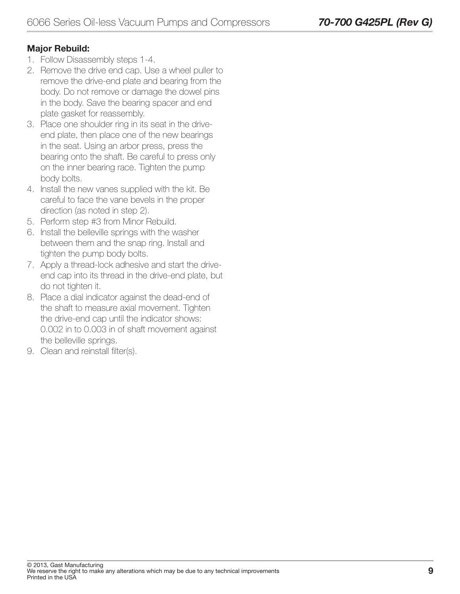#### Major Rebuild:

- 1. Follow Disassembly steps 1-4.
- 2. Remove the drive end cap. Use a wheel puller to remove the drive-end plate and bearing from the body. Do not remove or damage the dowel pins in the body. Save the bearing spacer and end plate gasket for reassembly.
- 3. Place one shoulder ring in its seat in the driveend plate, then place one of the new bearings in the seat. Using an arbor press, press the bearing onto the shaft. Be careful to press only on the inner bearing race. Tighten the pump body bolts.
- 4. Install the new vanes supplied with the kit. Be careful to face the vane bevels in the proper direction (as noted in step 2).
- 5. Perform step #3 from Minor Rebuild.
- 6. Install the belleville springs with the washer between them and the snap ring. Install and tighten the pump body bolts.
- 7. Apply a thread-lock adhesive and start the driveend cap into its thread in the drive-end plate, but do not tighten it.
- 8. Place a dial indicator against the dead-end of the shaft to measure axial movement. Tighten the drive-end cap until the indicator shows: 0.002 in to 0.003 in of shaft movement against the belleville springs.
- 9. Clean and reinstall filter(s).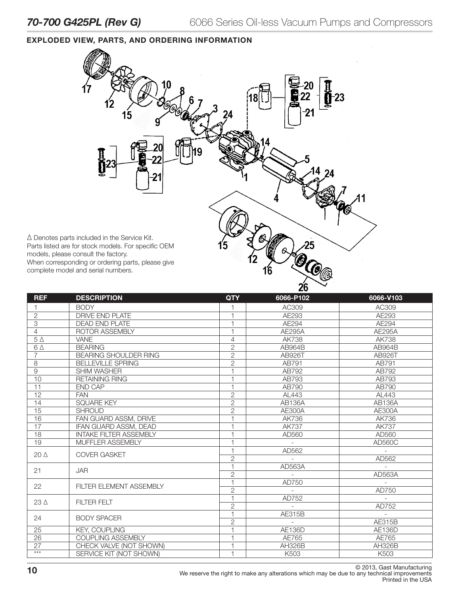#### EXPLODED VIEW, PARTS, AND ORDERING INFORMATION



| <b>REF</b>      | <b>DESCRIPTION</b>             | <b>QTY</b>               | 6066-P102     | 6066-V103     |
|-----------------|--------------------------------|--------------------------|---------------|---------------|
|                 | <b>BODY</b>                    |                          | AC309         | AC309         |
| $\overline{2}$  | <b>DRIVE END PLATE</b>         |                          | AE293         | AE293         |
| $\overline{3}$  | <b>DEAD END PLATE</b>          | 1                        | AE294         | AE294         |
| 4               | ROTOR ASSEMBLY                 | $\overline{1}$           | <b>AE295A</b> | <b>AE295A</b> |
| $5\Delta$       | VANE                           | $\overline{4}$           | <b>AK738</b>  | <b>AK738</b>  |
| $6\Delta$       | <b>BEARING</b>                 | $\overline{2}$           | <b>AB964B</b> | AB964B        |
| $\overline{7}$  | <b>BEARING SHOULDER RING</b>   | $\overline{2}$           | AB926T        | AB926T        |
| 8               | <b>BELLEVILLE SPRING</b>       | $\overline{2}$           | AB791         | AB791         |
| $\hbox{9}$      | <b>SHIM WASHER</b>             | $\overline{1}$           | AB792         | AB792         |
| 10              | <b>RETAINING RING</b>          | H                        | AB793         | AB793         |
| $\overline{11}$ | <b>END CAP</b>                 | $\overline{1}$           | AB790         | AB790         |
| 12              | <b>FAN</b>                     | $\overline{2}$           | AL443         | AL443         |
| 14              | <b>SQUARE KEY</b>              | $\overline{2}$           | <b>AB136A</b> | <b>AB136A</b> |
| $\overline{15}$ | <b>SHROUD</b>                  | $\overline{c}$           | <b>AE300A</b> | <b>AE300A</b> |
| 16              | FAN GUARD ASSM, DRIVE          | $\overline{1}$           | AK736         | AK736         |
| 17              | IFAN GUARD ASSM, DEAD          | H                        | <b>AK737</b>  | <b>AK737</b>  |
| 18              | <b>INTAKE FILTER ASSEMBLY</b>  |                          | AD560         | AD560         |
| $\overline{19}$ | MUFFLER ASSEMBLY               | f                        |               | AD560C        |
| $20\Delta$      | <b>COVER GASKET</b>            | $\overline{1}$           | AD562         |               |
|                 |                                | $\overline{2}$           |               | AD562         |
| 21              | <b>JAR</b>                     |                          | AD563A        |               |
|                 |                                | $\sqrt{2}$               |               | AD563A        |
| 22              | <b>FILTER ELEMENT ASSEMBLY</b> | $\overline{1}$           | AD750         |               |
|                 |                                | $\overline{2}$           |               | AD750         |
| $23\Delta$      | <b>FILTER FELT</b>             | $\overline{1}$           | AD752         |               |
|                 |                                | $\overline{2}$           |               | AD752         |
| 24              | <b>BODY SPACER</b>             | $\overline{1}$           | AE315B        |               |
|                 |                                | $\overline{2}$           |               | AE315B        |
| 25              | <b>KEY, COUPLING</b>           | $\overline{1}$           | <b>AE136D</b> | <b>AE136D</b> |
| 26              | <b>COUPLING ASSEMBLY</b>       | $\overline{1}$           | AE765         | AE765         |
| 27              | CHECK VALVE (NOT SHOWN)        | $\overline{\phantom{a}}$ | <b>AH326B</b> | <b>AH326B</b> |
| $***$           | SERVICE KIT (NOT SHOWN)        | $\overline{1}$           | K503          | K503          |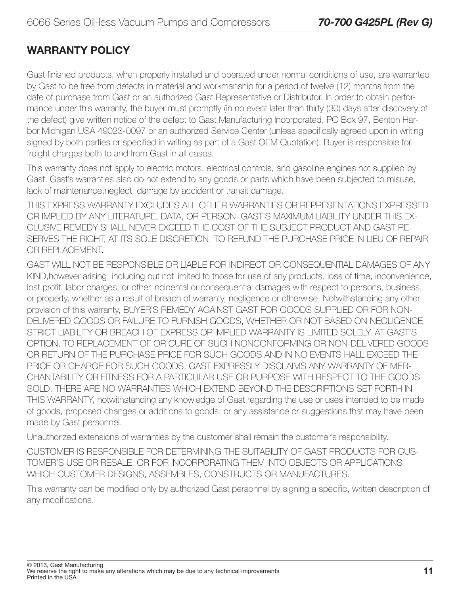### WARRANTY POLICY

Gast finished products, when properly installed and operated under normal conditions of use, are warranted by Gast to be free from defects in material and workmanship for a period of twelve (12) months from the date of purchase from Gast or an authorized Gast Representative or Distributor. In order to obtain performance under this warranty, the buyer must promptly (in no event later than thirty (30) days after discovery of the defect) give written notice of the defect to Gast Manufacturing Incorporated, PO Box 97, Benton Harbor Michigan USA 49023-0097 or an authorized Service Center (unless specifically agreed upon in writing signed by both parties or specified in writing as part of a Gast OEM Quotation). Buyer is responsible for freight charges both to and from Gast in all cases.

This warranty does not apply to electric motors, electrical controls, and gasoline engines not supplied by Gast. Gast's warranties also do not extend to any goods or parts which have been subjected to misuse, lack of maintenance,neglect, damage by accident or transit damage.

THIS EXPRESS WARRANTY EXCLUDES ALL OTHER WARRANTIES OR REPRESENTATIONS EXPRESSED OR IMPLIED BY ANY LITERATURE, DATA, OR PERSON. GAST'S MAXIMUM LIABILITY UNDER THIS EX-CLUSIVE REMEDY SHALL NEVER EXCEED THE COST OF THE SUBJECT PRODUCT AND GAST RE-SERVES THE RIGHT, AT ITS SOLE DISCRETION, TO REFUND THE PURCHASE PRICE IN LIEU OF REPAIR OR REPLACEMENT.

GAST WILL NOT BE RESPONSIBLE OR LIABLE FOR INDIRECT OR CONSEQUENTIAL DAMAGES OF ANY KIND,however arising, including but not limited to those for use of any products, loss of time, inconvenience, lost profit, labor charges, or other incidental or consequential damages with respect to persons, business, or property, whether as a result of breach of warranty, negligence or otherwise. Notwithstanding any other provision of this warranty, BUYER'S REMEDY AGAINST GAST FOR GOODS SUPPLIED OR FOR NON-DELIVERED GOODS OR FAILURE TO FURNISH GOODS, WHETHER OR NOT BASED ON NEGLIGENCE, STRICT LIABILITY OR BREACH OF EXPRESS OR IMPLIED WARRANTY IS LIMITED SOLELY, AT GAST'S OPTION, TO REPLACEMENT OF OR CURE OF SUCH NONCONFORMING OR NON-DELIVERED GOODS OR RETURN OF THE PURCHASE PRICE FOR SUCH GOODS AND IN NO EVENTS HALL EXCEED THE PRICE OR CHARGE FOR SUCH GOODS. GAST EXPRESSLY DISCLAIMS ANY WARRANTY OF MER-CHANTABILITY OR FITNESS FOR A PARTICULAR USE OR PURPOSE WITH RESPECT TO THE GOODS SOLD. THERE ARE NO WARRANTIES WHICH EXTEND BEYOND THE DESCRIPTIONS SET FORTH IN THIS WARRANTY, notwithstanding any knowledge of Gast regarding the use or uses intended to be made of goods, proposed changes or additions to goods, or any assistance or suggestions that may have been made by Gast personnel.

Unauthorized extensions of warranties by the customer shall remain the customer's responsibility.

CUSTOMER IS RESPONSIBLE FOR DETERMINING THE SUITABILITY OF GAST PRODUCTS FOR CUS-TOMER'S USE OR RESALE, OR FOR INCORPORATING THEM INTO OBJECTS OR APPLICATIONS WHICH CUSTOMER DESIGNS, ASSEMBLES, CONSTRUCTS OR MANUFACTURES.

This warranty can be modified only by authorized Gast personnel by signing a specific, written description of any modifications.